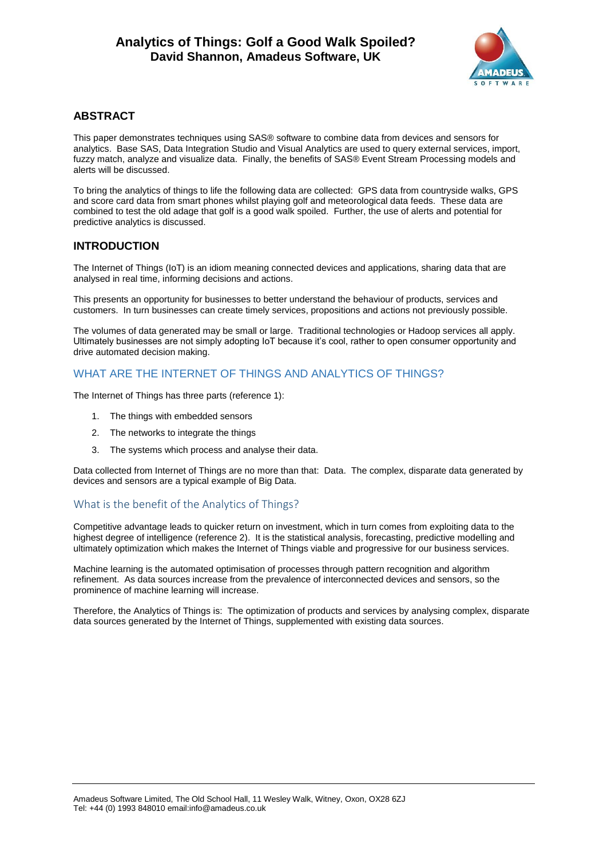

## **ABSTRACT**

This paper demonstrates techniques using SAS® software to combine data from devices and sensors for analytics. Base SAS, Data Integration Studio and Visual Analytics are used to query external services, import, fuzzy match, analyze and visualize data. Finally, the benefits of SAS® Event Stream Processing models and alerts will be discussed.

To bring the analytics of things to life the following data are collected: GPS data from countryside walks, GPS and score card data from smart phones whilst playing golf and meteorological data feeds. These data are combined to test the old adage that golf is a good walk spoiled. Further, the use of alerts and potential for predictive analytics is discussed.

## **INTRODUCTION**

The Internet of Things (IoT) is an idiom meaning connected devices and applications, sharing data that are analysed in real time, informing decisions and actions.

This presents an opportunity for businesses to better understand the behaviour of products, services and customers. In turn businesses can create timely services, propositions and actions not previously possible.

The volumes of data generated may be small or large. Traditional technologies or Hadoop services all apply. Ultimately businesses are not simply adopting IoT because it's cool, rather to open consumer opportunity and drive automated decision making.

# WHAT ARE THE INTERNET OF THINGS AND ANALYTICS OF THINGS?

The Internet of Things has three parts (reference 1):

- 1. The things with embedded sensors
- 2. The networks to integrate the things
- 3. The systems which process and analyse their data.

Data collected from Internet of Things are no more than that: Data. The complex, disparate data generated by devices and sensors are a typical example of Big Data.

## What is the benefit of the Analytics of Things?

Competitive advantage leads to quicker return on investment, which in turn comes from exploiting data to the highest degree of intelligence (reference 2). It is the statistical analysis, forecasting, predictive modelling and ultimately optimization which makes the Internet of Things viable and progressive for our business services.

Machine learning is the automated optimisation of processes through pattern recognition and algorithm refinement. As data sources increase from the prevalence of interconnected devices and sensors, so the prominence of machine learning will increase.

Therefore, the Analytics of Things is: The optimization of products and services by analysing complex, disparate data sources generated by the Internet of Things, supplemented with existing data sources.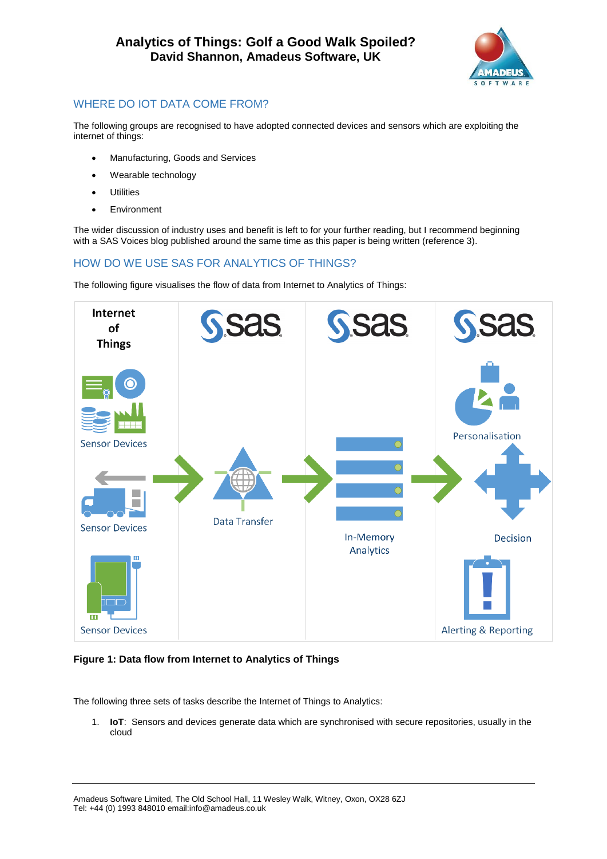

# WHERE DO IOT DATA COME FROM?

The following groups are recognised to have adopted connected devices and sensors which are exploiting the internet of things:

- Manufacturing, Goods and Services
- Wearable technology
- **Utilities**
- **Environment**

The wider discussion of industry uses and benefit is left to for your further reading, but I recommend beginning with a SAS Voices blog published around the same time as this paper is being written (reference 3).

# HOW DO WE USE SAS FOR ANALYTICS OF THINGS?

The following figure visualises the flow of data from Internet to Analytics of Things:



## **Figure 1: Data flow from Internet to Analytics of Things**

The following three sets of tasks describe the Internet of Things to Analytics:

1. **IoT**: Sensors and devices generate data which are synchronised with secure repositories, usually in the cloud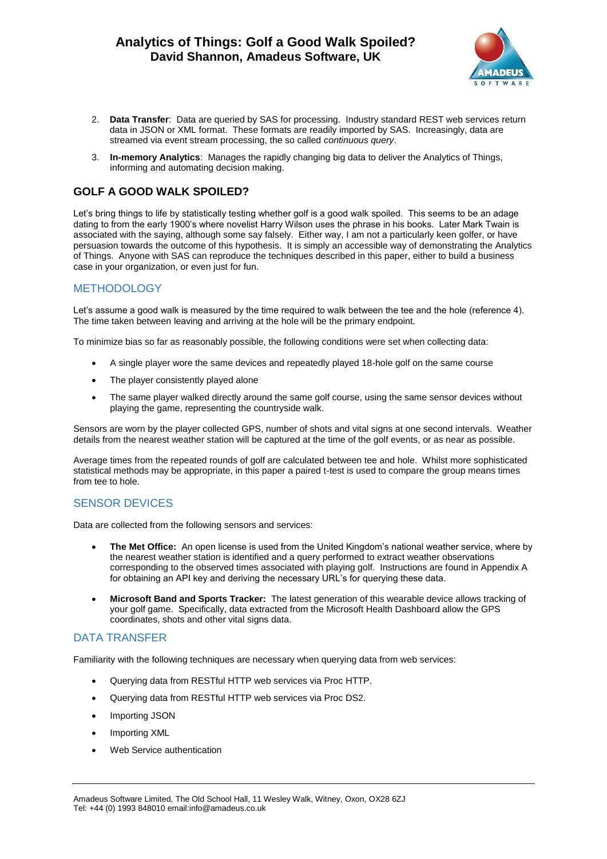

- 2. **Data Transfer**: Data are queried by SAS for processing. Industry standard REST web services return data in JSON or XML format. These formats are readily imported by SAS. Increasingly, data are streamed via event stream processing, the so called *continuous query*.
- 3. **In-memory Analytics**: Manages the rapidly changing big data to deliver the Analytics of Things, informing and automating decision making.

# **GOLF A GOOD WALK SPOILED?**

Let's bring things to life by statistically testing whether golf is a good walk spoiled. This seems to be an adage dating to from the early 1900's where novelist Harry Wilson uses the phrase in his books. Later Mark Twain is associated with the saying, although some say falsely. Either way, I am not a particularly keen golfer, or have persuasion towards the outcome of this hypothesis. It is simply an accessible way of demonstrating the Analytics of Things. Anyone with SAS can reproduce the techniques described in this paper, either to build a business case in your organization, or even just for fun.

## **METHODOLOGY**

Let's assume a good walk is measured by the time required to walk between the tee and the hole (reference 4). The time taken between leaving and arriving at the hole will be the primary endpoint.

To minimize bias so far as reasonably possible, the following conditions were set when collecting data:

- A single player wore the same devices and repeatedly played 18-hole golf on the same course
- The player consistently played alone
- The same player walked directly around the same golf course, using the same sensor devices without playing the game, representing the countryside walk.

Sensors are worn by the player collected GPS, number of shots and vital signs at one second intervals. Weather details from the nearest weather station will be captured at the time of the golf events, or as near as possible.

Average times from the repeated rounds of golf are calculated between tee and hole. Whilst more sophisticated statistical methods may be appropriate, in this paper a paired t-test is used to compare the group means times from tee to hole.

## SENSOR DEVICES

Data are collected from the following sensors and services:

- **The Met Office:** An open license is used from the United Kingdom's national weather service, where by the nearest weather station is identified and a query performed to extract weather observations corresponding to the observed times associated with playing golf. Instructions are found in Appendix A for obtaining an API key and deriving the necessary URL's for querying these data.
- **Microsoft Band and Sports Tracker:** The latest generation of this wearable device allows tracking of your golf game. Specifically, data extracted from the Microsoft Health Dashboard allow the GPS coordinates, shots and other vital signs data.

## DATA TRANSFER

Familiarity with the following techniques are necessary when querying data from web services:

- Querying data from RESTful HTTP web services via Proc HTTP.
- Querying data from RESTful HTTP web services via Proc DS2.
- Importing JSON
- Importing XML
- Web Service authentication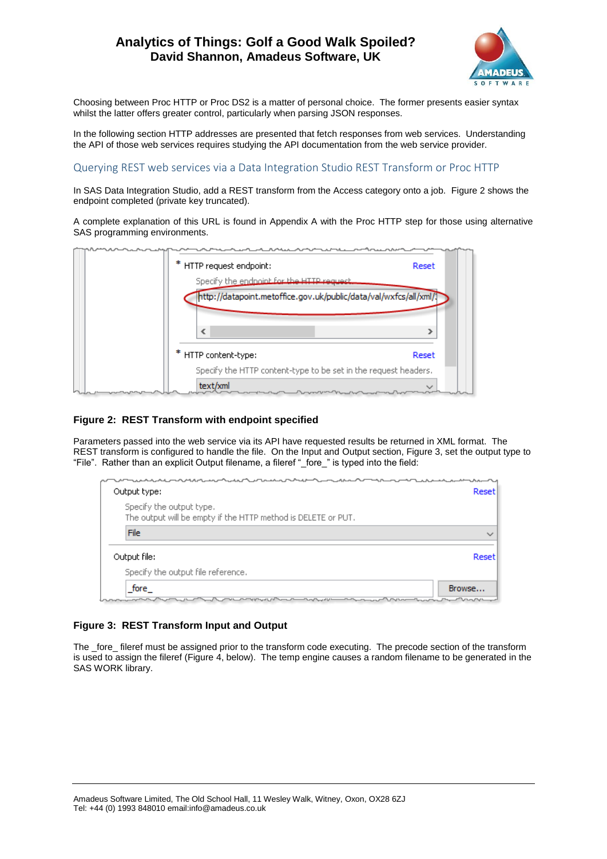

Choosing between Proc HTTP or Proc DS2 is a matter of personal choice. The former presents easier syntax whilst the latter offers greater control, particularly when parsing JSON responses.

In the following section HTTP addresses are presented that fetch responses from web services. Understanding the API of those web services requires studying the API documentation from the web service provider.

### Querying REST web services via a Data Integration Studio REST Transform or Proc HTTP

In SAS Data Integration Studio, add a REST transform from the Access category onto a job. [Figure 2](#page-3-0) shows the endpoint completed (private key truncated).

A complete explanation of this URL is found in Appendix A with the Proc HTTP step for those using alternative SAS programming environments.

| * HTTP request endpoint: |                                                                   | Reset |
|--------------------------|-------------------------------------------------------------------|-------|
|                          | Specify the endpoint for the HTTP request.                        |       |
|                          | http://datapoint.metoffice.gov.uk/public/data/val/wxfcs/all/xml/1 |       |
|                          |                                                                   |       |
| ∢                        |                                                                   |       |
| * HTTP content-type:     |                                                                   | Reset |
|                          | Specify the HTTP content-type to be set in the request headers.   |       |
| text/xml                 |                                                                   |       |

### <span id="page-3-0"></span>**Figure 2: REST Transform with endpoint specified**

Parameters passed into the web service via its API have requested results be returned in XML format. The REST transform is configured to handle the file. On the Input and Output section[, Figure 3,](#page-3-1) set the output type to "File". Rather than an explicit Output filename, a fileref "\_fore\_" is typed into the field:

| Output type:                                                                              | Reset        |
|-------------------------------------------------------------------------------------------|--------------|
| Specify the output type.<br>The output will be empty if the HTTP method is DELETE or PUT. |              |
| File                                                                                      | $\checkmark$ |
| Output file:                                                                              | Reset        |
| Specify the output file reference.                                                        |              |
| fore<br>Browse                                                                            |              |
|                                                                                           |              |

### <span id="page-3-1"></span>**Figure 3: REST Transform Input and Output**

The \_fore\_ fileref must be assigned prior to the transform code executing. The precode section of the transform is used to assign the fileref [\(Figure 4,](#page-4-0) below). The temp engine causes a random filename to be generated in the SAS WORK library.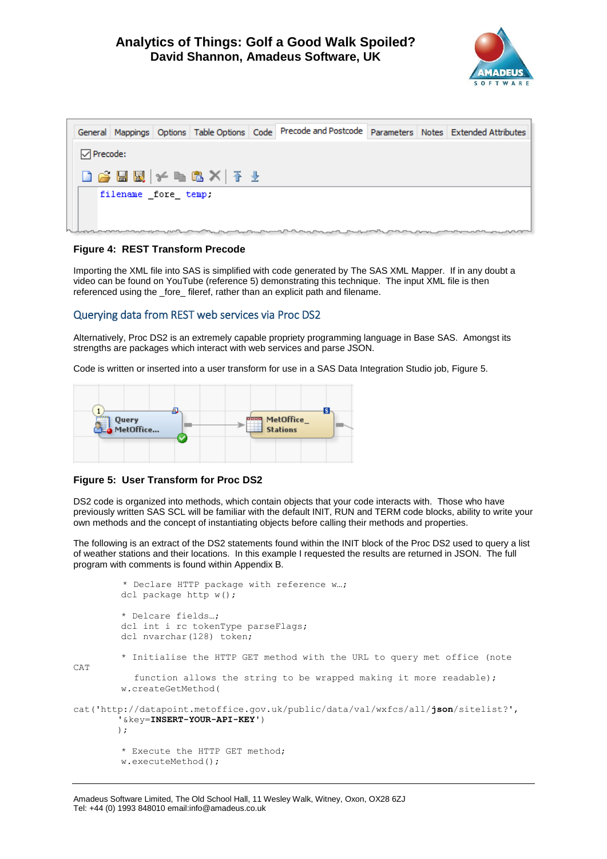

|                          |                     |              | General Mappings Options Table Options Code Precode and Postcode Parameters Notes Extended Attributes |  |  |
|--------------------------|---------------------|--------------|-------------------------------------------------------------------------------------------------------|--|--|
| $\triangledown$ Precode: |                     |              |                                                                                                       |  |  |
|                          |                     | DGBB XBCX FY |                                                                                                       |  |  |
|                          | filename fore temp. |              |                                                                                                       |  |  |
|                          |                     |              | ▚▄▆▅▛▄ᡁ▞▄▟▚▟▐▄▞▙▄▛▙▄▃▛▀▙▄▁▞▚▁▄▀▊ <sub>▛▆</sub> ▞▙▄▁▛▙▄▀▛▞▀▛▀▛ <sup>▆</sup> ▛▙▞▙▞▙▞▙▞▙▞▙<br>▀          |  |  |

### <span id="page-4-0"></span>**Figure 4: REST Transform Precode**

Importing the XML file into SAS is simplified with code generated by The SAS XML Mapper. If in any doubt a video can be found on YouTube (reference 5) demonstrating this technique. The input XML file is then referenced using the \_fore\_ fileref, rather than an explicit path and filename.

### Querying data from REST web services via Proc DS2

Alternatively, Proc DS2 is an extremely capable propriety programming language in Base SAS. Amongst its strengths are packages which interact with web services and parse JSON.

Code is written or inserted into a user transform for use in a SAS Data Integration Studio job, [Figure 5.](#page-4-1)



### <span id="page-4-1"></span>**Figure 5: User Transform for Proc DS2**

DS2 code is organized into methods, which contain objects that your code interacts with. Those who have previously written SAS SCL will be familiar with the default INIT, RUN and TERM code blocks, ability to write your own methods and the concept of instantiating objects before calling their methods and properties.

The following is an extract of the DS2 statements found within the INIT block of the Proc DS2 used to query a list of weather stations and their locations. In this example I requested the results are returned in JSON. The full program with comments is found within Appendix B.

```
 * Declare HTTP package with reference w…;
         dcl package http w();
          * Delcare fields…;
          dcl int i rc tokenType parseFlags;
         dcl nvarchar(128) token;
          * Initialise the HTTP GET method with the URL to query met office (note 
CAT 
            function allows the string to be wrapped making it more readable);
          w.createGetMethod(
cat('http://datapoint.metoffice.gov.uk/public/data/val/wxfcs/all/json/sitelist?',
         '&key=INSERT-YOUR-API-KEY')
         );
          * Execute the HTTP GET method;
          w.executeMethod();
```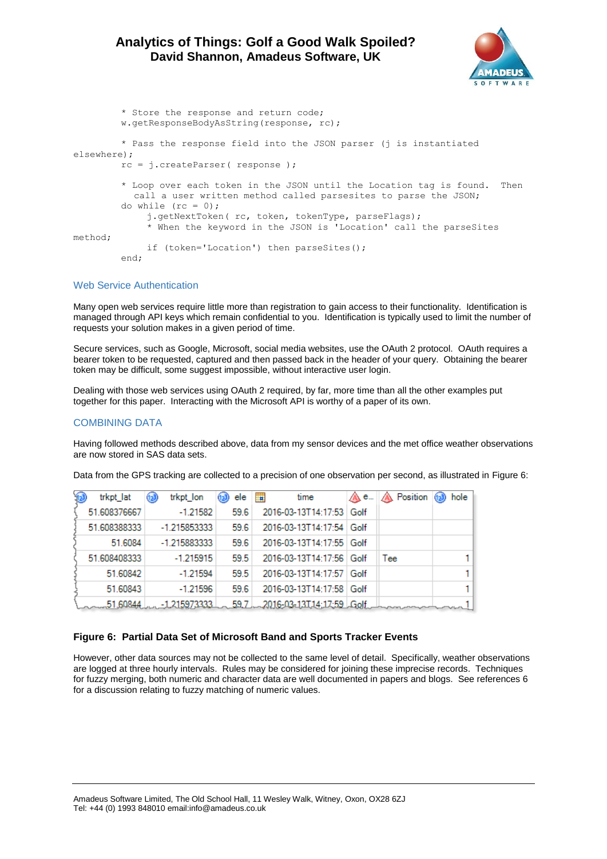

```
 * Store the response and return code;
          w.getResponseBodyAsString(response, rc);
          * Pass the response field into the JSON parser (j is instantiated 
elsewhere);
         rc = j.createParser( response );
          * Loop over each token in the JSON until the Location tag is found. Then 
            call a user written method called parsesites to parse the JSON;
         do while (rc = 0);
             j.getNextToken( rc, token, tokenType, parseFlags);
              * When the keyword in the JSON is 'Location' call the parseSites 
method;
              if (token='Location') then parseSites();
         end;
```
#### Web Service Authentication

Many open web services require little more than registration to gain access to their functionality. Identification is managed through API keys which remain confidential to you. Identification is typically used to limit the number of requests your solution makes in a given period of time.

Secure services, such as Google, Microsoft, social media websites, use the OAuth 2 protocol. OAuth requires a bearer token to be requested, captured and then passed back in the header of your query. Obtaining the bearer token may be difficult, some suggest impossible, without interactive user login.

Dealing with those web services using OAuth 2 required, by far, more time than all the other examples put together for this paper. Interacting with the Microsoft API is worthy of a paper of its own.

### COMBINING DATA

Having followed methods described above, data from my sensor devices and the met office weather observations are now stored in SAS data sets.

| trkpt lat      | trkpt_lon<br>(1,3) | ele  | <b>In</b><br>time                                    | /А е | $\triangle$ Position | hole<br>(12) |
|----------------|--------------------|------|------------------------------------------------------|------|----------------------|--------------|
| 51.608376667   | $-1.21582$         | 59.6 | 2016-03-13T14:17:53 Golf                             |      |                      |              |
| 51.608388333   | -1.215853333       | 59.6 | 2016-03-13T14:17:54 Golf                             |      |                      |              |
| 51.6084        | -1.215883333       | 59.6 | 2016-03-13T14:17:55   Golf                           |      |                      |              |
| 51.608408333   | $-1.215915$        | 59.5 | 2016-03-13T14:17:56 Golf                             |      | Tee                  |              |
| 51.60842       | $-1.21594$         | 59.5 | 2016-03-13T14:17:57 Golf                             |      |                      |              |
| 51.60843       | $-1.21596$         | 59.6 | 2016-03-13T14:17:58   Golf                           |      |                      |              |
| Loure 51,60844 |                    |      | _1,215973333 L__ 59.7 L__ 2016-03-13T,14;17;59 LGolf |      |                      |              |

Data from the GPS tracking are collected to a precision of one observation per second, as illustrated in [Figure 6:](#page-5-0)

#### <span id="page-5-0"></span>**Figure 6: Partial Data Set of Microsoft Band and Sports Tracker Events**

However, other data sources may not be collected to the same level of detail. Specifically, weather observations are logged at three hourly intervals. Rules may be considered for joining these imprecise records. Techniques for fuzzy merging, both numeric and character data are well documented in papers and blogs. See references 6 for a discussion relating to fuzzy matching of numeric values.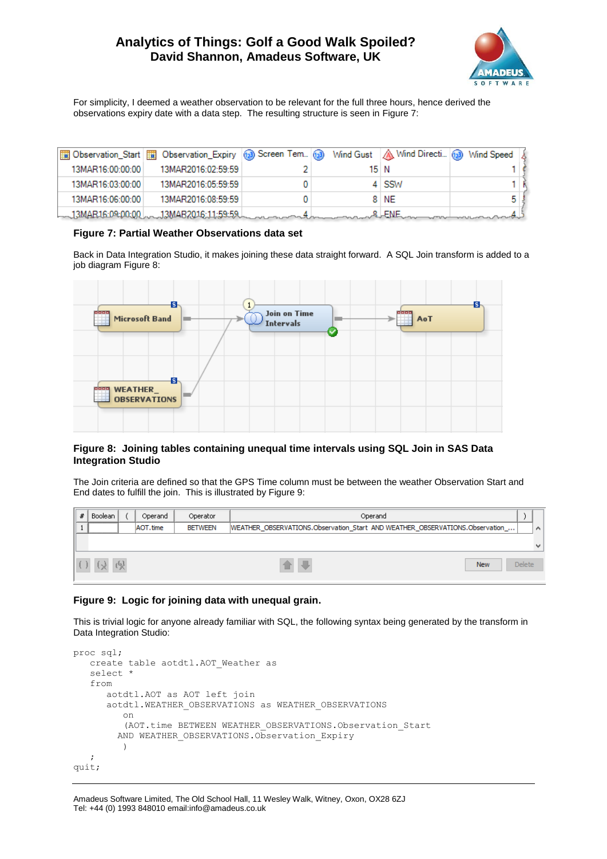

For simplicity, I deemed a weather observation to be relevant for the full three hours, hence derived the observations expiry date with a data step. The resulting structure is seen in [Figure 7:](#page-6-0)

|                  | Observation_Start    Dbservation_Expiry   3 Screen Tem (a) Wind Gust   △ Wind Directi (a) Wind Speed & |  |         |  |
|------------------|--------------------------------------------------------------------------------------------------------|--|---------|--|
| 13MAR16:00:00:00 | 13MAR2016:02:59:59                                                                                     |  | 15 N    |  |
| 13MAR16:03:00:00 | 13MAR2016:05:59:59                                                                                     |  | $4$ SSW |  |
| 13MAR16:06:00:00 | 13MAR2016:08:59:59                                                                                     |  | 8 NE    |  |
|                  | L_13MAR16:09:00:00 L __ 13MAB2016:11:59:59 L __ _ _ _ _ _ _ _ _ _ 4                                    |  | …&LENE… |  |

#### <span id="page-6-0"></span>**Figure 7: Partial Weather Observations data set**

Back in Data Integration Studio, it makes joining these data straight forward. A SQL Join transform is added to a job diagra[m Figure 8:](#page-6-1)



### <span id="page-6-1"></span>**Figure 8: Joining tables containing unequal time intervals using SQL Join in SAS Data Integration Studio**

The Join criteria are defined so that the GPS Time column must be between the weather Observation Start and End dates to fulfill the join. This is illustrated b[y Figure 9:](#page-6-2)

| # | Boolean                        |              | Operand   | Operator       | Operand                                                                      |               |   |
|---|--------------------------------|--------------|-----------|----------------|------------------------------------------------------------------------------|---------------|---|
|   | --------------------------<br> |              | AOT, time | <b>BETWEEN</b> | WEATHER_OBSERVATIONS.Observation_Start_AND WEATHER_OBSERVATIONS.Observation_ |               | Α |
|   |                                |              |           |                |                                                                              |               |   |
|   | $(\lambda)$                    | $\mathbb{Q}$ |           |                | <b>New</b>                                                                   | <b>Delete</b> |   |

### <span id="page-6-2"></span>**Figure 9: Logic for joining data with unequal grain.**

This is trivial logic for anyone already familiar with SQL, the following syntax being generated by the transform in Data Integration Studio:

```
proc sql;
    create table aotdtl.AOT_Weather as
    select *
    from
       aotdtl.AOT as AOT left join 
       aotdtl.WEATHER_OBSERVATIONS as WEATHER_OBSERVATIONS
          on
           (AOT.time BETWEEN WEATHER_OBSERVATIONS.Observation_Start 
        AND WEATHER OBSERVATIONS. Observation Expiry
          )
\mathcal{L}quit;
```
#### Amadeus Software Limited, The Old School Hall, 11 Wesley Walk, Witney, Oxon, OX28 6ZJ Tel: +44 (0) 1993 848010 email:info@amadeus.co.uk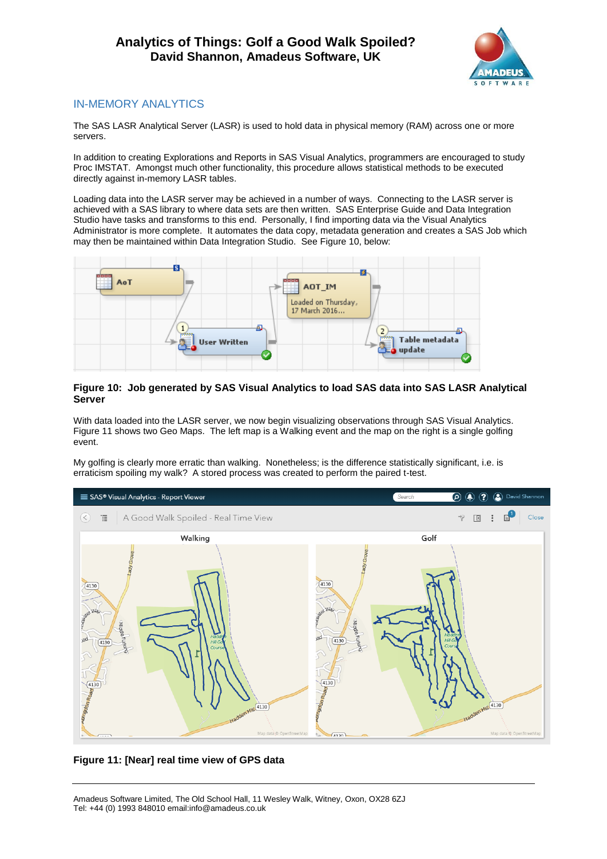

# IN-MEMORY ANALYTICS

The SAS LASR Analytical Server (LASR) is used to hold data in physical memory (RAM) across one or more servers.

In addition to creating Explorations and Reports in SAS Visual Analytics, programmers are encouraged to study Proc IMSTAT. Amongst much other functionality, this procedure allows statistical methods to be executed directly against in-memory LASR tables.

Loading data into the LASR server may be achieved in a number of ways. Connecting to the LASR server is achieved with a SAS library to where data sets are then written. SAS Enterprise Guide and Data Integration Studio have tasks and transforms to this end. Personally, I find importing data via the Visual Analytics Administrator is more complete. It automates the data copy, metadata generation and creates a SAS Job which may then be maintained within Data Integration Studio. See [Figure 10,](#page-7-0) below:



### <span id="page-7-0"></span>**Figure 10: Job generated by SAS Visual Analytics to load SAS data into SAS LASR Analytical Server**

With data loaded into the LASR server, we now begin visualizing observations through SAS Visual Analytics. [Figure 11](#page-7-1) shows two Geo Maps. The left map is a Walking event and the map on the right is a single golfing event.

My golfing is clearly more erratic than walking. Nonetheless; is the difference statistically significant, i.e. is erraticism spoiling my walk? A stored process was created to perform the paired t-test.



<span id="page-7-1"></span>**Figure 11: [Near] real time view of GPS data**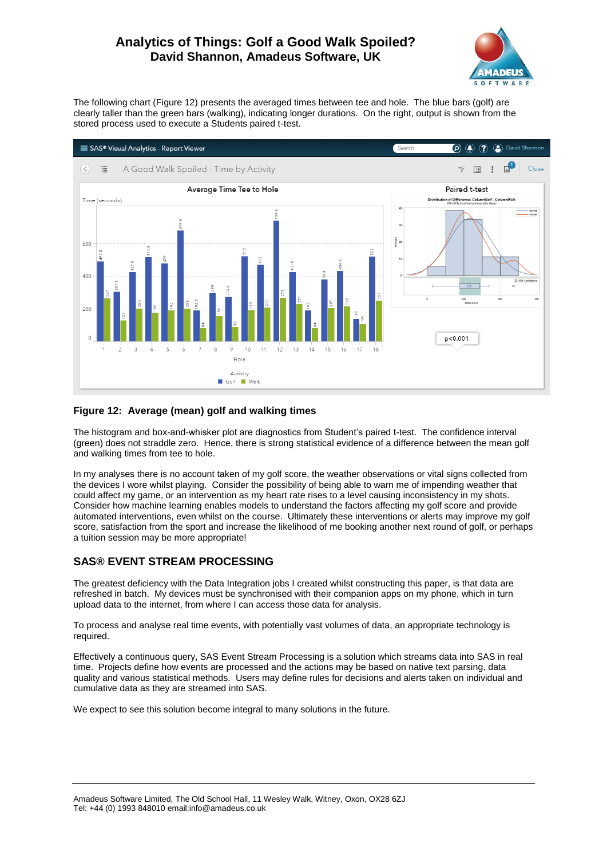

The following chart [\(Figure 12\)](#page-8-0) presents the averaged times between tee and hole. The blue bars (golf) are clearly taller than the green bars (walking), indicating longer durations. On the right, output is shown from the stored process used to execute a Students paired t-test.



### <span id="page-8-0"></span>**Figure 12: Average (mean) golf and walking times**

The histogram and box-and-whisker plot are diagnostics from Student's paired t-test. The confidence interval (green) does not straddle zero. Hence, there is strong statistical evidence of a difference between the mean golf and walking times from tee to hole.

In my analyses there is no account taken of my golf score, the weather observations or vital signs collected from the devices I wore whilst playing. Consider the possibility of being able to warn me of impending weather that could affect my game, or an intervention as my heart rate rises to a level causing inconsistency in my shots. Consider how machine learning enables models to understand the factors affecting my golf score and provide automated interventions, even whilst on the course. Ultimately these interventions or alerts may improve my golf score, satisfaction from the sport and increase the likelihood of me booking another next round of golf, or perhaps a tuition session may be more appropriate!

# **SAS® EVENT STREAM PROCESSING**

The greatest deficiency with the Data Integration jobs I created whilst constructing this paper, is that data are refreshed in batch. My devices must be synchronised with their companion apps on my phone, which in turn upload data to the internet, from where I can access those data for analysis.

To process and analyse real time events, with potentially vast volumes of data, an appropriate technology is required.

Effectively a continuous query, SAS Event Stream Processing is a solution which streams data into SAS in real time. Projects define how events are processed and the actions may be based on native text parsing, data quality and various statistical methods. Users may define rules for decisions and alerts taken on individual and cumulative data as they are streamed into SAS.

We expect to see this solution become integral to many solutions in the future.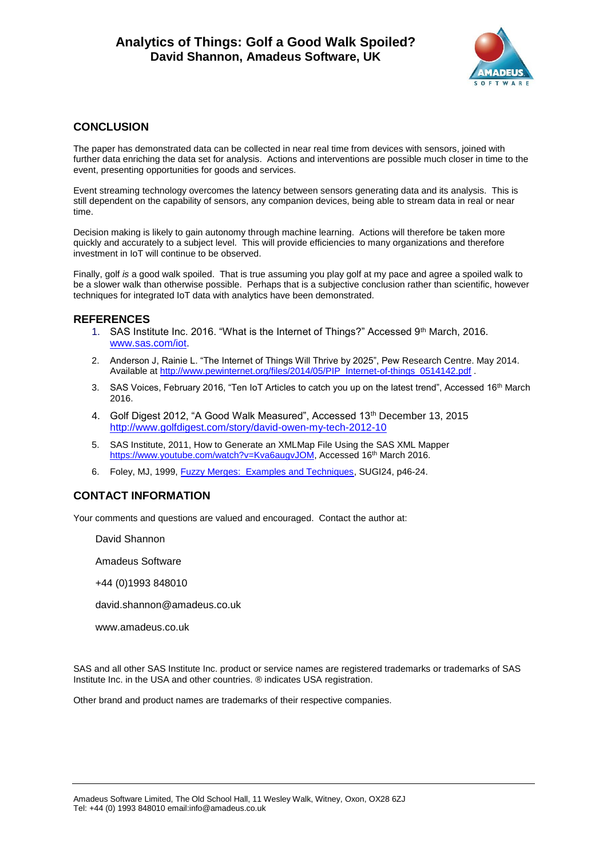

## **CONCLUSION**

The paper has demonstrated data can be collected in near real time from devices with sensors, joined with further data enriching the data set for analysis. Actions and interventions are possible much closer in time to the event, presenting opportunities for goods and services.

Event streaming technology overcomes the latency between sensors generating data and its analysis. This is still dependent on the capability of sensors, any companion devices, being able to stream data in real or near time.

Decision making is likely to gain autonomy through machine learning. Actions will therefore be taken more quickly and accurately to a subject level. This will provide efficiencies to many organizations and therefore investment in IoT will continue to be observed.

Finally, golf *is* a good walk spoiled. That is true assuming you play golf at my pace and agree a spoiled walk to be a slower walk than otherwise possible. Perhaps that is a subjective conclusion rather than scientific, however techniques for integrated IoT data with analytics have been demonstrated.

## **REFERENCES**

- 1. SAS Institute Inc. 2016. "What is the Internet of Things?" Accessed 9th March, 2016. [www.sas.com/iot.](http://www.sas.com/iot)
- 2. Anderson J, Rainie L. "The Internet of Things Will Thrive by 2025", Pew Research Centre. May 2014. Available at [http://www.pewinternet.org/files/2014/05/PIP\\_Internet-of-things\\_0514142.pdf](http://www.pewinternet.org/files/2014/05/PIP_Internet-of-things_0514142.pdf) .
- 3. SAS Voices, February 2016, "Ten IoT Articles to catch you up on the latest trend", Accessed 16th March 2016.
- 4. Golf Digest 2012, "A Good Walk Measured", Accessed 13th December 13, 2015 <http://www.golfdigest.com/story/david-owen-my-tech-2012-10>
- 5. SAS Institute, 2011, How to Generate an XMLMap File Using the SAS XML Mapper [https://www.youtube.com/watch?v=Kva6augvJOM,](https://www.youtube.com/watch?v=Kva6augvJOM) Accessed 16<sup>th</sup> March 2016.
- 6. Foley, MJ, 1999, [Fuzzy Merges: Examples and Techniques,](http://www2.sas.com/proceedings/sugi24/Advtutor/p46-24.pdf) SUGI24, p46-24.

## **CONTACT INFORMATION**

Your comments and questions are valued and encouraged. Contact the author at:

David Shannon

Amadeus Software

+44 (0)1993 848010

david.shannon@amadeus.co.uk

www.amadeus.co.uk

SAS and all other SAS Institute Inc. product or service names are registered trademarks or trademarks of SAS Institute Inc. in the USA and other countries. ® indicates USA registration.

Other brand and product names are trademarks of their respective companies.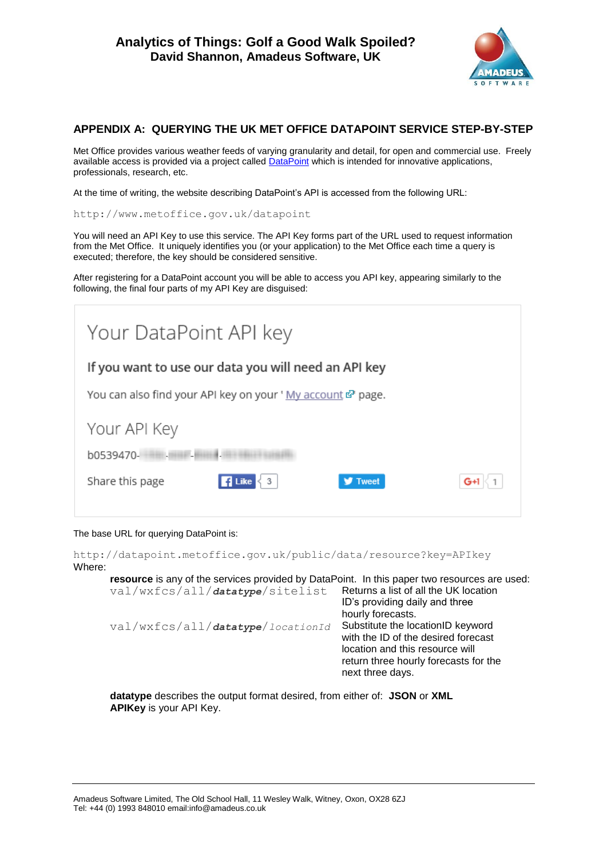

# **APPENDIX A: QUERYING THE UK MET OFFICE DATAPOINT SERVICE STEP-BY-STEP**

Met Office provides various weather feeds of varying granularity and detail, for open and commercial use. Freely available access is provided via a project called **DataPoint** which is intended for innovative applications, professionals, research, etc.

At the time of writing, the website describing DataPoint's API is accessed from the following URL:

http://www.metoffice.gov.uk/datapoint

You will need an API Key to use this service. The API Key forms part of the URL used to request information from the Met Office. It uniquely identifies you (or your application) to the Met Office each time a query is executed; therefore, the key should be considered sensitive.

After registering for a DataPoint account you will be able to access you API key, appearing similarly to the following, the final four parts of my API Key are disguised:

| Your DataPoint API key                                         |  |  |  |  |  |
|----------------------------------------------------------------|--|--|--|--|--|
| If you want to use our data you will need an API key           |  |  |  |  |  |
| You can also find your API key on your 'My account & page.     |  |  |  |  |  |
| Your API Key                                                   |  |  |  |  |  |
| b0539470-                                                      |  |  |  |  |  |
| Share this page<br>3<br><b>Tweet</b><br><b>C</b> Like<br>$G+1$ |  |  |  |  |  |

### The base URL for querying DataPoint is:

http://datapoint.metoffice.gov.uk/public/data/resource?key=APIkey Where:

| resource is any of the services provided by DataPoint. In this paper two resources are used: |                                       |
|----------------------------------------------------------------------------------------------|---------------------------------------|
| val/wxfcs/all/datatype/sitelist Returns a list of all the UK location                        |                                       |
|                                                                                              | ID's providing daily and three        |
|                                                                                              | hourly forecasts.                     |
| val/wxfcs/all/datatype/locationId                                                            | Substitute the locationID keyword     |
|                                                                                              | with the ID of the desired forecast   |
|                                                                                              | location and this resource will       |
|                                                                                              | return three hourly forecasts for the |
|                                                                                              | next three days.                      |
|                                                                                              |                                       |

**datatype** describes the output format desired, from either of: **JSON** or **XML APIKey** is your API Key.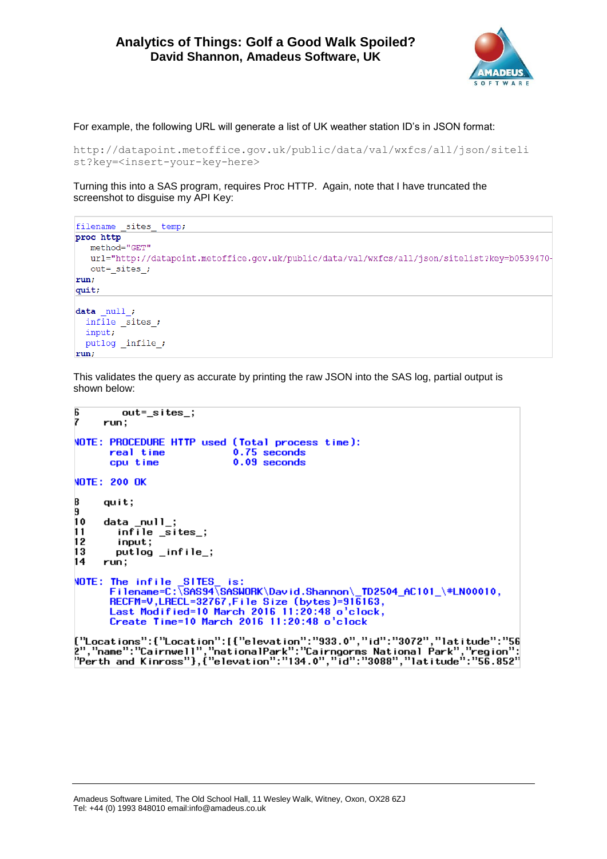

For example, the following URL will generate a list of UK weather station ID's in JSON format:

```
http://datapoint.metoffice.gov.uk/public/data/val/wxfcs/all/json/siteli
st?key=<insert-your-key-here>
```
Turning this into a SAS program, requires Proc HTTP. Again, note that I have truncated the screenshot to disguise my API Key:

```
filename _sites_ temp;
proc http
  method="GET"
   url="http://datapoint.metoffice.qov.uk/public/data/val/wxfcs/all/json/sitelist?key=b0539470-
   out=_sites_;
run:
quit;
data null;
 infinite sites.
  input;
  putlog _infile_;
run;
```
This validates the query as accurate by printing the raw JSON into the SAS log, partial output is shown below:

```
6
          out='sites;
7
      run:NOTE: PROCEDURE HTTP used (Total process time):
        real time
                                   0.75 seconds
        cpu time
                                   0.09 seconds
NOTE: 200 OK
8
      quit;9
      data_null_;<br>infile _sites_;
101112input;
13
         putlog _infile_;
14run;NOTE: The infile _SITES_ is:<br>Filename=C:\SAS94\SASWORK\David.Shannon\_TD2504_AC101_\#LN00010,
       RECFM=V, LRECL=32767, File Size (bytes)=916163,<br>Last Modified=10 March 2016 11:20:48 o'clock,
        Create Time=10 March 2016 11:20:48 o'clock
{"Locations":{"Location":[{"elevation":"933.0","id":"3072","latitude":"56
2","name":"Cairnwell","nationalPark":"Cairngorms National Park","region":<br>"Perth and Kinross"},{"elevation":"134.0","id":"3088","latitude":"56.852"
```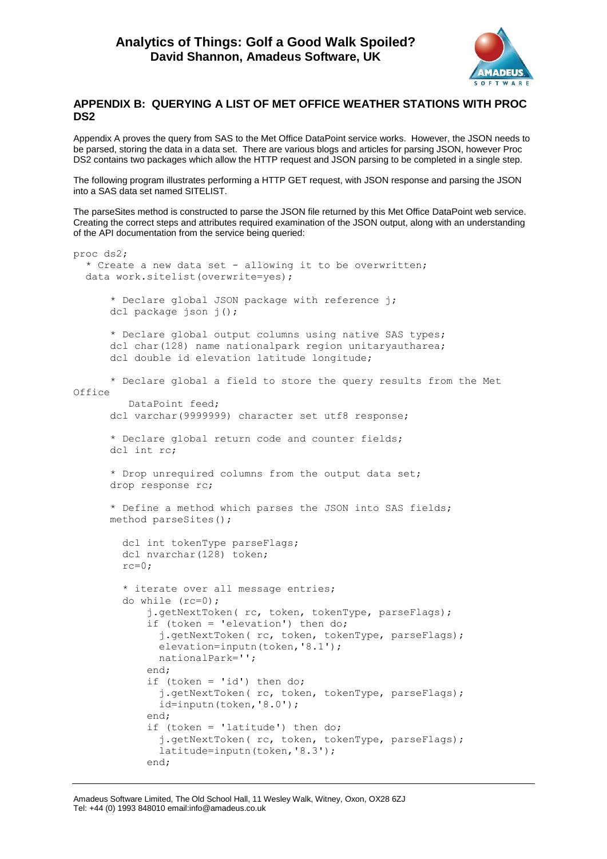

## **APPENDIX B: QUERYING A LIST OF MET OFFICE WEATHER STATIONS WITH PROC DS2**

Appendix A proves the query from SAS to the Met Office DataPoint service works. However, the JSON needs to be parsed, storing the data in a data set. There are various blogs and articles for parsing JSON, however Proc DS2 contains two packages which allow the HTTP request and JSON parsing to be completed in a single step.

The following program illustrates performing a HTTP GET request, with JSON response and parsing the JSON into a SAS data set named SITELIST.

The parseSites method is constructed to parse the JSON file returned by this Met Office DataPoint web service. Creating the correct steps and attributes required examination of the JSON output, along with an understanding of the API documentation from the service being queried:

```
proc ds2;
   * Create a new data set - allowing it to be overwritten;
   data work.sitelist(overwrite=yes);
      * Declare global JSON package with reference j;
      dcl package json j();
      * Declare global output columns using native SAS types;
      dcl char(128) name nationalpark region unitaryautharea;
      dcl double id elevation latitude longitude;
      * Declare global a field to store the query results from the Met 
Office
          DataPoint feed;
      dcl varchar(9999999) character set utf8 response;
      * Declare global return code and counter fields;
      dcl int rc;
      * Drop unrequired columns from the output data set;
      drop response rc;
      * Define a method which parses the JSON into SAS fields;
      method parseSites();
         dcl int tokenType parseFlags;
        dcl nvarchar(128) token;
        rc=0;* iterate over all message entries;
         do while (rc=0);
            j.getNextToken( rc, token, tokenType, parseFlags);
            if (token = 'elevation') then do;
               j.getNextToken( rc, token, tokenType, parseFlags);
              elevation=inputn(token, '8.1');
               nationalPark='';
            end;
            if (token = 'id') then do;
               j.getNextToken( rc, token, tokenType, parseFlags);
               id=inputn(token,'8.0');
            end;
            if (token = 'latitude') then do;
               j.getNextToken( rc, token, tokenType, parseFlags);
               latitude=inputn(token,'8.3');
            end;
```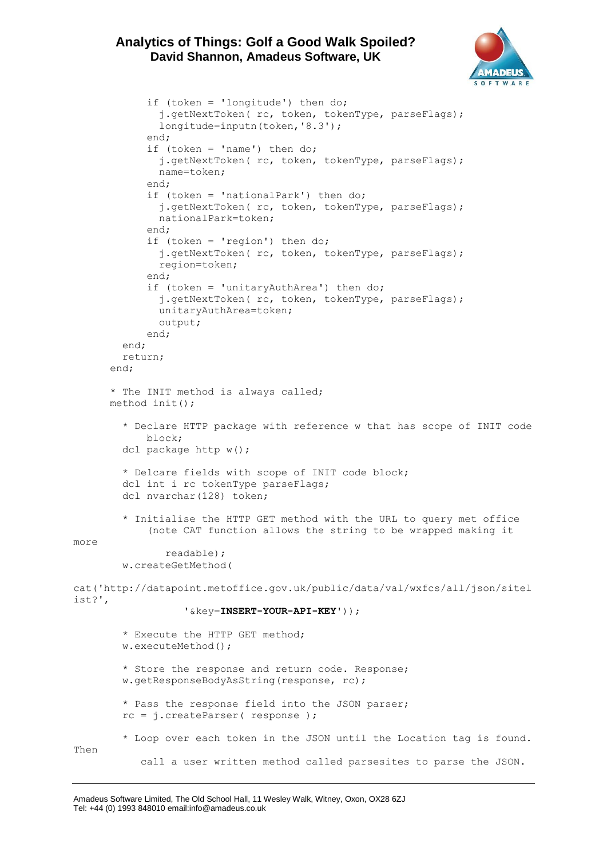

```
if (token = 'longitude') then do;
               j.getNextToken( rc, token, tokenType, parseFlags);
               longitude=inputn(token,'8.3');
            end;
            if (token = 'name') then do;
               j.getNextToken( rc, token, tokenType, parseFlags);
               name=token;
            end;
            if (token = 'nationalPark') then do;
               j.getNextToken( rc, token, tokenType, parseFlags);
               nationalPark=token;
            end;
            if (token = 'region') then do;
              j.getNextToken( rc, token, tokenType, parseFlags);
               region=token;
            end;
            if (token = 'unitaryAuthArea') then do;
               j.getNextToken( rc, token, tokenType, parseFlags);
               unitaryAuthArea=token;
               output;
            end;
         end;
         return;
      end;
      * The INIT method is always called;
      method init();
         * Declare HTTP package with reference w that has scope of INIT code
            block;
        dcl package http w();
         * Delcare fields with scope of INIT code block;
         dcl int i rc tokenType parseFlags;
        dcl nvarchar(128) token;
         * Initialise the HTTP GET method with the URL to query met office
            (note CAT function allows the string to be wrapped making it 
more 
                readable);
         w.createGetMethod(
cat('http://datapoint.metoffice.gov.uk/public/data/val/wxfcs/all/json/sitel
ist?',
                   '&key=INSERT-YOUR-API-KEY'));
         * Execute the HTTP GET method;
         w.executeMethod();
         * Store the response and return code. Response;
         w.getResponseBodyAsString(response, rc);
         * Pass the response field into the JSON parser;
         rc = j.createParser( response );
         * Loop over each token in the JSON until the Location tag is found. 
Then 
            call a user written method called parsesites to parse the JSON.
```
Amadeus Software Limited, The Old School Hall, 11 Wesley Walk, Witney, Oxon, OX28 6ZJ Tel: +44 (0) 1993 848010 email:info@amadeus.co.uk